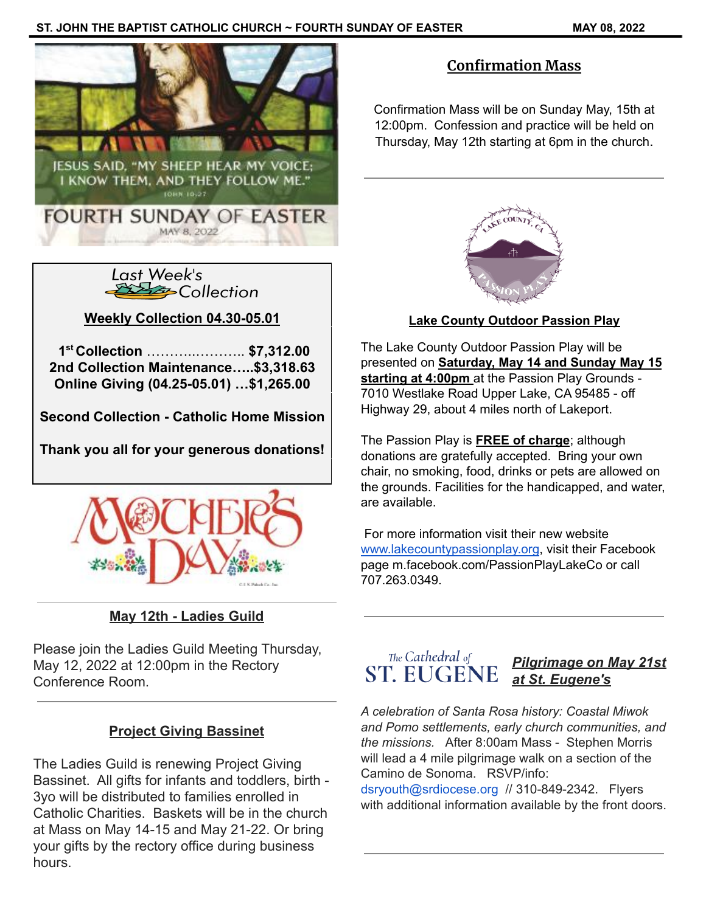



**Weekly Collection 04.30-05.01**

**1 st Collection** ………..……….. **\$7,312.00 2nd Collection Maintenance…..\$3,318.63 Online Giving (04.25-05.01) …\$1,265.00**

**Second Collection - Catholic Home Mission**

**Thank you all for your generous donations!**



# **May 12th - Ladies Guild**

Please join the Ladies Guild Meeting Thursday, May 12, 2022 at 12:00pm in the Rectory Conference Room.

### **Project Giving Bassinet**

The Ladies Guild is renewing Project Giving Bassinet. All gifts for infants and toddlers, birth - 3yo will be distributed to families enrolled in Catholic Charities. Baskets will be in the church at Mass on May 14-15 and May 21-22. Or bring your gifts by the rectory office during business hours.

## **Confirmation Mass**

Confirmation Mass will be on Sunday May, 15th at 12:00pm. Confession and practice will be held on Thursday, May 12th starting at 6pm in the church.



### **Lake County Outdoor Passion Play**

The Lake County Outdoor Passion Play will be presented on **Saturday, May 14 and Sunday May 15 starting at 4:00pm** at the Passion Play Grounds - 7010 Westlake Road Upper Lake, CA 95485 - off Highway 29, about 4 miles north of Lakeport.

The Passion Play is **FREE of charge**; although donations are gratefully accepted. Bring your own chair, no smoking, food, drinks or pets are allowed on the grounds. Facilities for the handicapped, and water, are available.

For more information visit their new website [www.lakecountypassionplay.org](http://www.lakecountypassionplay.org), visit their Facebook page m.facebook.com/PassionPlayLakeCo or call 707.263.0349.



### *Pilgrimage on May 21st at St. Eugene's*

*A celebration of Santa Rosa history: Coastal Miwok and Pomo settlements, early church communities, and the missions.* After 8:00am Mass - Stephen Morris will lead a 4 mile pilgrimage walk on a section of the Camino de Sonoma. RSVP/info:

dsryouth@srdiocese.org // 310-849-2342. Flyers with additional information available by the front doors.